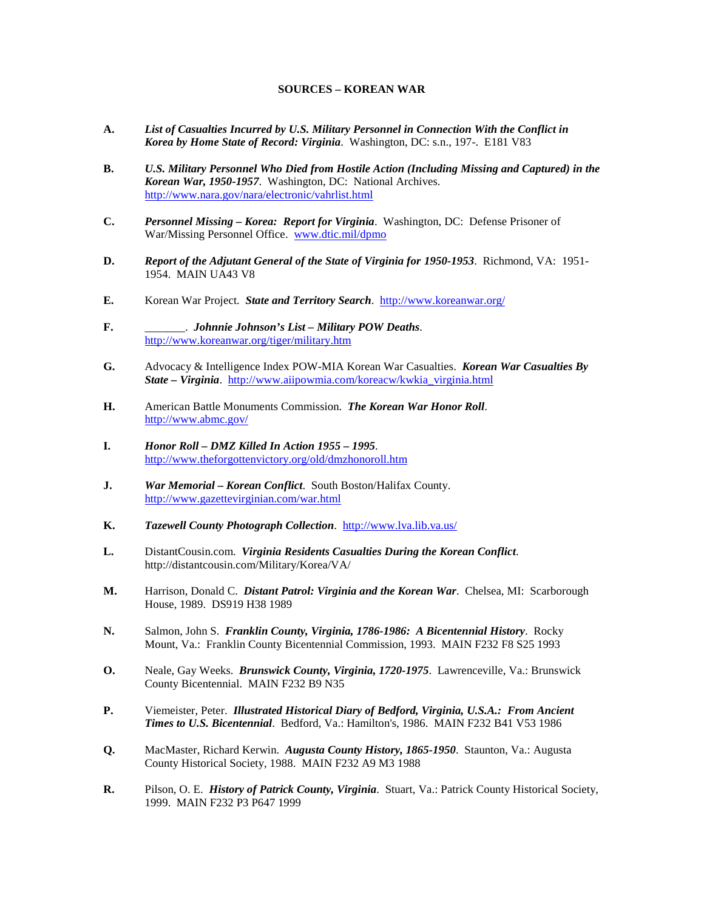## **SOURCES – KOREAN WAR**

- **A.** *List of Casualties Incurred by U.S. Military Personnel in Connection With the Conflict in Korea by Home State of Record: Virginia*. Washington, DC: s.n., 197-. E181 V83
- **B.** *U.S. Military Personnel Who Died from Hostile Action (Including Missing and Captured) in the Korean War, 1950-1957*. Washington, DC: National Archives. <http://www.nara.gov/nara/electronic/vahrlist.html>
- **C.** *Personnel Missing – Korea: Report for Virginia*. Washington, DC:Defense Prisoner of War/Missing Personnel Office. [www.dtic.mil/dpmo](http://www.dtic.mil/dpmo)
- **D.** *Report of the Adjutant General of the State of Virginia for 1950-1953*. Richmond, VA: 1951- 1954. MAIN UA43 V8
- **E.** Korean War Project. *State and Territory Search*.<http://www.koreanwar.org/>
- **F.** \_\_\_\_\_\_\_. *Johnnie Johnson's List – Military POW Deaths*. <http://www.koreanwar.org/tiger/military.htm>
- **G.** Advocacy & Intelligence Index POW-MIA Korean War Casualties. *Korean War Casualties By State – Virginia*. [http://www.aiipowmia.com/koreacw/kwkia\\_virginia.html](http://www.aiipowmia.com/koreacw/kwkia_virginia.html)
- **H.** American Battle Monuments Commission. *The Korean War Honor Roll*. <http://www.abmc.gov/>
- **I.** *Honor Roll – DMZ Killed In Action 1955 – 1995*. <http://www.theforgottenvictory.org/old/dmzhonoroll.htm>
- **J.** *War Memorial – Korean Conflict*. South Boston/Halifax County. <http://www.gazettevirginian.com/war.html>
- **K.** *Tazewell County Photograph Collection*. <http://www.lva.lib.va.us/>
- **L.** DistantCousin.com. *Virginia Residents Casualties During the Korean Conflict*. <http://distantcousin.com/Military/Korea/VA/>
- **M.** Harrison, Donald C. *Distant Patrol: Virginia and the Korean War*. Chelsea, MI: Scarborough House, 1989. DS919 H38 1989
- **N.** Salmon, John S. *Franklin County, Virginia, 1786-1986: A Bicentennial History*. Rocky Mount, Va.: Franklin County Bicentennial Commission, 1993. MAIN F232 F8 S25 1993
- **O.** Neale, Gay Weeks. *Brunswick County, Virginia, 1720-1975*. Lawrenceville, Va.: Brunswick County Bicentennial. MAIN F232 B9 N35
- **P.** Viemeister, Peter. *Illustrated Historical Diary of Bedford, Virginia, U.S.A.: From Ancient Times to U.S. Bicentennial*. Bedford, Va.: Hamilton's, 1986. MAIN F232 B41 V53 1986
- **Q.** MacMaster, Richard Kerwin. *Augusta County History, 1865-1950*. Staunton, Va.: Augusta County Historical Society, 1988. MAIN F232 A9 M3 1988
- **R.** Pilson, O. E. *History of Patrick County, Virginia*. Stuart, Va.: Patrick County Historical Society, 1999. MAIN F232 P3 P647 1999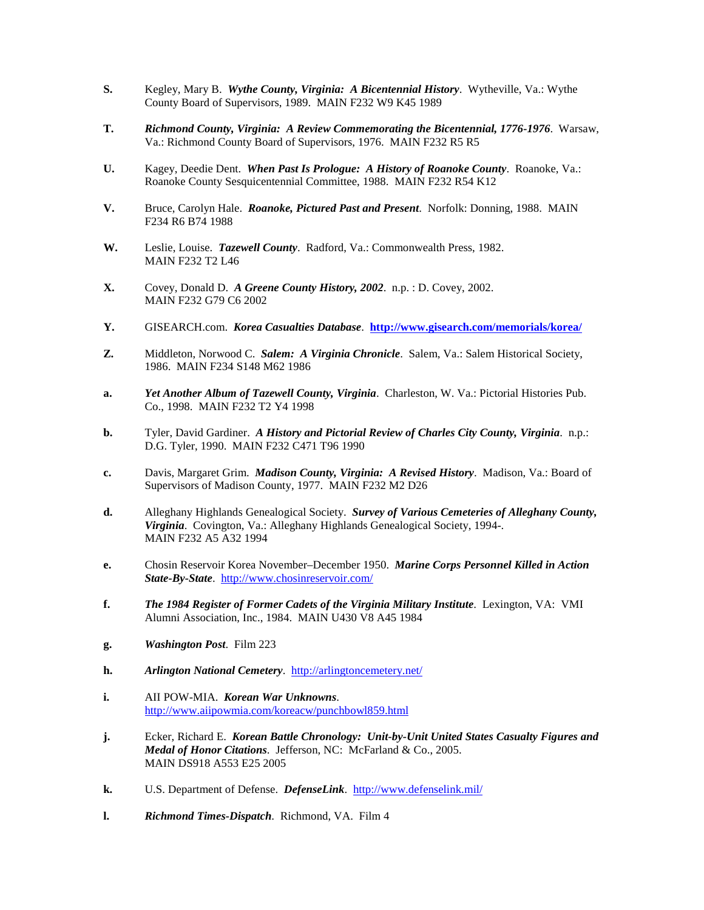- **S.** Kegley, Mary B. *Wythe County, Virginia: A Bicentennial History*. Wytheville, Va.: Wythe County Board of Supervisors, 1989. MAIN F232 W9 K45 1989
- **T.** *Richmond County, Virginia: A Review Commemorating the Bicentennial, 1776-1976*. Warsaw, Va.: Richmond County Board of Supervisors, 1976. MAIN F232 R5 R5
- **U.** Kagey, Deedie Dent. *When Past Is Prologue: A History of Roanoke County*. Roanoke, Va.: Roanoke County Sesquicentennial Committee, 1988. MAIN F232 R54 K12
- **V.** Bruce, Carolyn Hale. *Roanoke, Pictured Past and Present*. Norfolk: Donning, 1988. MAIN F234 R6 B74 1988
- **W.** Leslie, Louise. *Tazewell County*. Radford, Va.: Commonwealth Press, 1982. MAIN F232 T2 L46
- **X.** Covey, Donald D. *A Greene County History, 2002*. n.p. : D. Covey, 2002. MAIN F232 G79 C6 2002
- **Y.** GISEARCH.com. *Korea Casualties Database*. **<http://www.gisearch.com/memorials/korea/>**
- **Z.** Middleton, Norwood C. *Salem: A Virginia Chronicle*. Salem, Va.: Salem Historical Society, 1986. MAIN F234 S148 M62 1986
- **a.** *Yet Another Album of Tazewell County, Virginia*. Charleston, W. Va.: Pictorial Histories Pub. Co., 1998. MAIN F232 T2 Y4 1998
- **b.** Tyler, David Gardiner.*A History and Pictorial Review of Charles City County, Virginia*. n.p.: D.G. Tyler, 1990. MAIN F232 C471 T96 1990
- **c.** Davis, Margaret Grim. *Madison County, Virginia: A Revised History*. Madison, Va.: Board of Supervisors of Madison County, 1977. MAIN F232 M2 D26
- **d.** Alleghany Highlands Genealogical Society. *Survey of Various Cemeteries of Alleghany County, Virginia*. Covington, Va.: Alleghany Highlands Genealogical Society, 1994-. MAIN F232 A5 A32 1994
- **e.** Chosin Reservoir Korea November–December 1950. *Marine Corps Personnel Killed in Action State-By-State*. <http://www.chosinreservoir.com/>
- **f.** *The 1984 Register of Former Cadets of the Virginia Military Institute*. Lexington, VA: VMI Alumni Association, Inc., 1984. MAIN U430 V8 A45 1984
- **g.** *Washington Post*. Film 223
- **h.** *Arlington National Cemetery*. <http://arlingtoncemetery.net/>
- **i.** AII POW-MIA. *Korean War Unknowns*. <http://www.aiipowmia.com/koreacw/punchbowl859.html>
- **j.** Ecker, Richard E. *Korean Battle Chronology: Unit-by-Unit United States Casualty Figures and Medal of Honor Citations*. Jefferson, NC: McFarland & Co., 2005. MAIN DS918 A553 E25 2005
- **k.** U.S. Department of Defense. *DefenseLink*. <http://www.defenselink.mil/>
- **l.** *Richmond Times-Dispatch*. Richmond, VA. Film 4